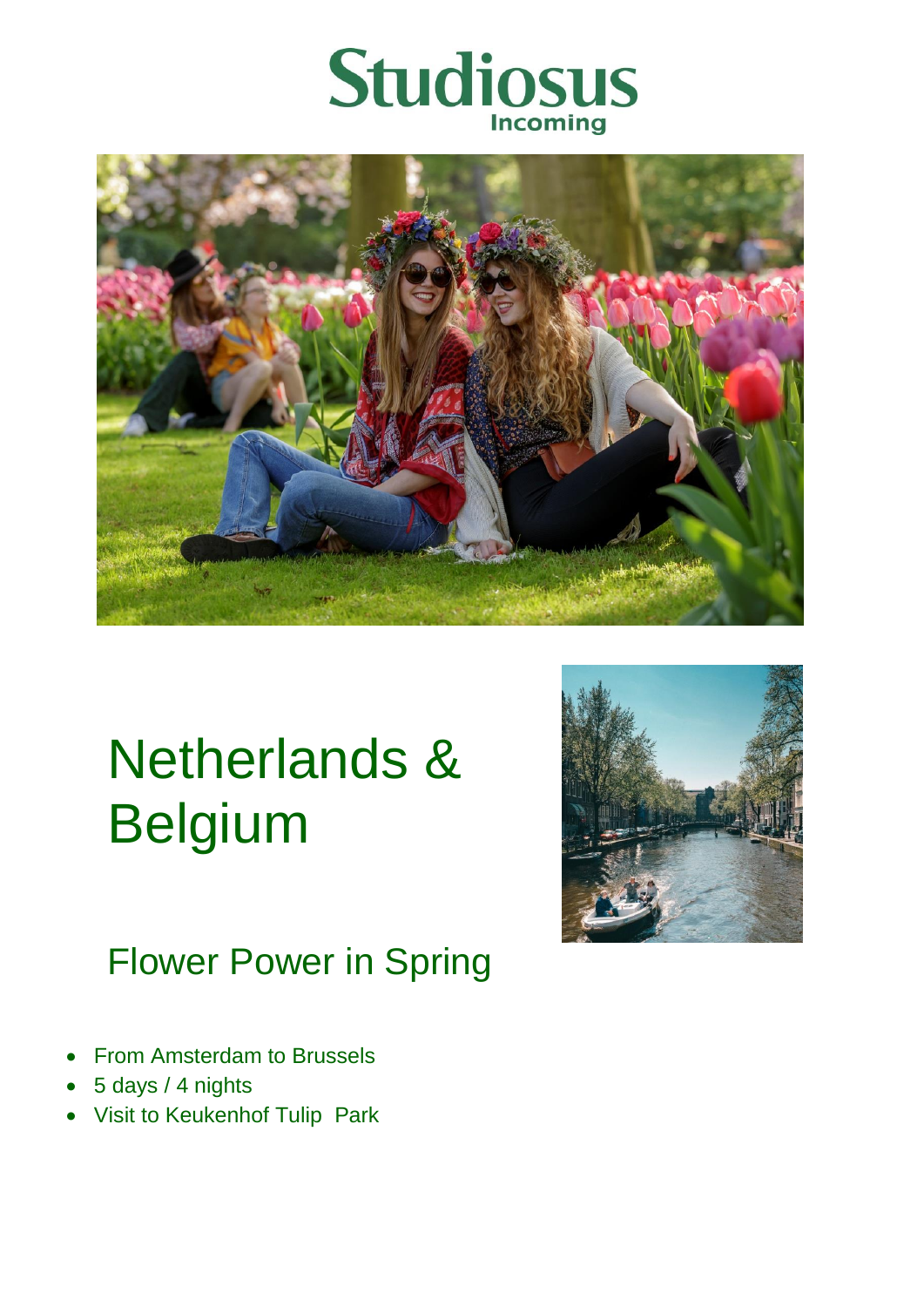



# Netherlands & Belgium



# Flower Power in Spring

- From Amsterdam to Brussels
- 5 days / 4 nights
- Visit to Keukenhof Tulip Park